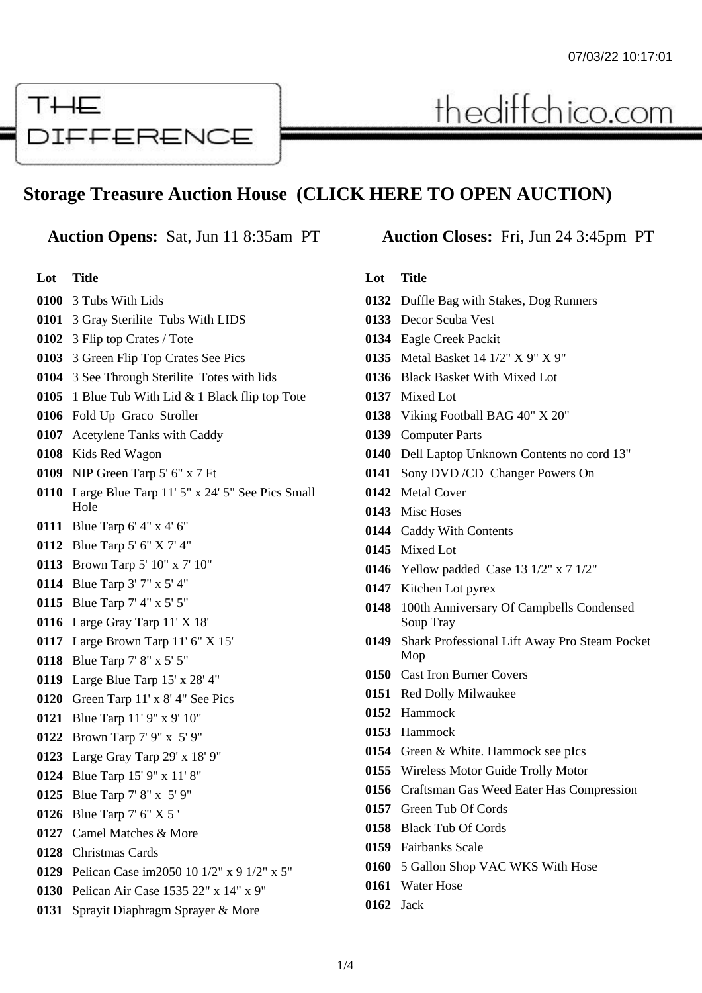# THE **DIFFERENCE**

## **Storage Treasure Auction House (CLICK HERE TO OPEN AUCTION)**

**Lot Title**

- 3 Tubs With Lids
- 3 Gray Sterilite Tubs With LIDS
- 3 Flip top Crates / Tote
- 3 Green Flip Top Crates See Pics
- 3 See Through Sterilite Totes with lids
- 1 Blue Tub With Lid & 1 Black flip top Tote
- Fold Up Graco Stroller
- Acetylene Tanks with Caddy
- Kids Red Wagon
- NIP Green Tarp 5' 6" x 7 Ft
- Large Blue Tarp 11' 5" x 24' 5" See Pics Small Hole
- Blue Tarp 6' 4" x 4' 6"
- Blue Tarp 5' 6" X 7' 4"
- Brown Tarp 5' 10" x 7' 10"
- Blue Tarp 3' 7" x 5' 4"
- Blue Tarp 7' 4" x 5' 5"
- Large Gray Tarp 11' X 18'
- Large Brown Tarp 11' 6" X 15'
- Blue Tarp 7' 8" x 5' 5"
- Large Blue Tarp 15' x 28' 4"
- Green Tarp 11' x 8' 4" See Pics
- Blue Tarp 11' 9" x 9' 10"
- Brown Tarp 7' 9" x 5' 9"
- Large Gray Tarp 29' x 18' 9"
- Blue Tarp 15' 9" x 11' 8"
- Blue Tarp 7' 8" x 5' 9"
- Blue Tarp 7' 6" X 5 '
- Camel Matches & More
- Christmas Cards
- Pelican Case im2050 10 1/2" x 9 1/2" x 5"
- Pelican Air Case 1535 22" x 14" x 9"
- Sprayit Diaphragm Sprayer & More

### **Auction Opens:** Sat, Jun 11 8:35am PT **Auction Closes:** Fri, Jun 24 3:45pm PT

thediffchico.com

#### **Lot Title**

- Duffle Bag with Stakes, Dog Runners
- Decor Scuba Vest
- Eagle Creek Packit
- Metal Basket 14 1/2" X 9" X 9"
- Black Basket With Mixed Lot
- Mixed Lot
- Viking Football BAG 40" X 20"
- Computer Parts
- Dell Laptop Unknown Contents no cord 13"
- Sony DVD /CD Changer Powers On
- Metal Cover
- Misc Hoses
- Caddy With Contents
- Mixed Lot
- Yellow padded Case 13 1/2" x 7 1/2"
- Kitchen Lot pyrex
- 100th Anniversary Of Campbells Condensed Soup Tray
- Shark Professional Lift Away Pro Steam Pocket Mop
- Cast Iron Burner Covers
- Red Dolly Milwaukee
- Hammock
- Hammock
- Green & White. Hammock see pIcs
- Wireless Motor Guide Trolly Motor
- Craftsman Gas Weed Eater Has Compression
- Green Tub Of Cords
- Black Tub Of Cords
- Fairbanks Scale
- 5 Gallon Shop VAC WKS With Hose
- Water Hose
- Jack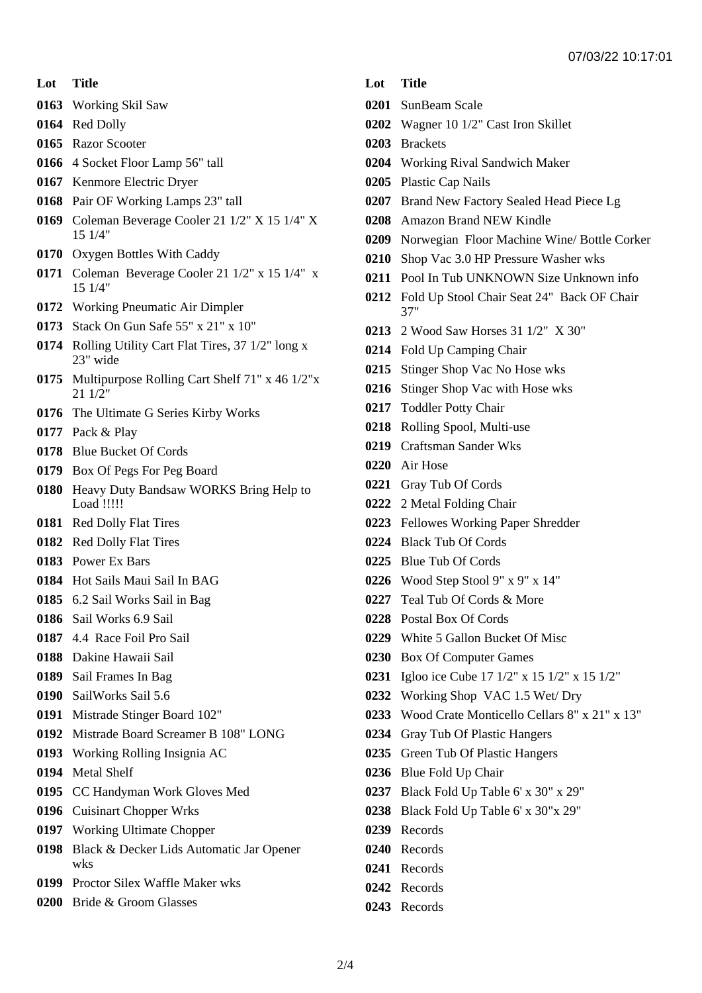#### **Lot Title**

Working Skil Saw

- Red Dolly
- Razor Scooter
- 4 Socket Floor Lamp 56" tall
- Kenmore Electric Dryer
- Pair OF Working Lamps 23" tall
- Coleman Beverage Cooler 21 1/2" X 15 1/4" X 15 1/4"
- Oxygen Bottles With Caddy
- Coleman Beverage Cooler 21 1/2" x 15 1/4" x 15 1/4"
- Working Pneumatic Air Dimpler
- Stack On Gun Safe 55" x 21" x 10"
- Rolling Utility Cart Flat Tires, 37 1/2" long x 23" wide
- Multipurpose Rolling Cart Shelf 71" x 46 1/2"x 21 1/2"
- The Ultimate G Series Kirby Works
- Pack & Play
- Blue Bucket Of Cords
- Box Of Pegs For Peg Board
- Heavy Duty Bandsaw WORKS Bring Help to Load !!!!!
- Red Dolly Flat Tires
- Red Dolly Flat Tires
- Power Ex Bars
- Hot Sails Maui Sail In BAG
- 6.2 Sail Works Sail in Bag
- Sail Works 6.9 Sail
- 4.4 Race Foil Pro Sail
- Dakine Hawaii Sail
- Sail Frames In Bag
- SailWorks Sail 5.6
- Mistrade Stinger Board 102"
- Mistrade Board Screamer B 108" LONG
- Working Rolling Insignia AC
- Metal Shelf
- CC Handyman Work Gloves Med
- Cuisinart Chopper Wrks
- Working Ultimate Chopper
- Black & Decker Lids Automatic Jar Opener wks
- Proctor Silex Waffle Maker wks
- Bride & Groom Glasses

### **Lot Title**

- SunBeam Scale
- Wagner 10 1/2" Cast Iron Skillet
- Brackets
- Working Rival Sandwich Maker
- Plastic Cap Nails
- Brand New Factory Sealed Head Piece Lg
- Amazon Brand NEW Kindle
- Norwegian Floor Machine Wine/ Bottle Corker
- Shop Vac 3.0 HP Pressure Washer wks
- Pool In Tub UNKNOWN Size Unknown info
- Fold Up Stool Chair Seat 24" Back OF Chair 37"
- 2 Wood Saw Horses 31 1/2" X 30"
- Fold Up Camping Chair
- Stinger Shop Vac No Hose wks
- Stinger Shop Vac with Hose wks
- Toddler Potty Chair
- Rolling Spool, Multi-use
- Craftsman Sander Wks
- Air Hose
- Gray Tub Of Cords
- 2 Metal Folding Chair
- Fellowes Working Paper Shredder
- Black Tub Of Cords
- Blue Tub Of Cords
- Wood Step Stool 9" x 9" x 14"
- Teal Tub Of Cords & More
- Postal Box Of Cords
- White 5 Gallon Bucket Of Misc
- Box Of Computer Games
- Igloo ice Cube 17 1/2" x 15 1/2" x 15 1/2"
- Working Shop VAC 1.5 Wet/ Dry
- Wood Crate Monticello Cellars 8" x 21" x 13"
- Gray Tub Of Plastic Hangers
- Green Tub Of Plastic Hangers
- Blue Fold Up Chair
- Black Fold Up Table 6' x 30" x 29"
- Black Fold Up Table 6' x 30"x 29"
- Records
- Records
- Records
- Records
- Records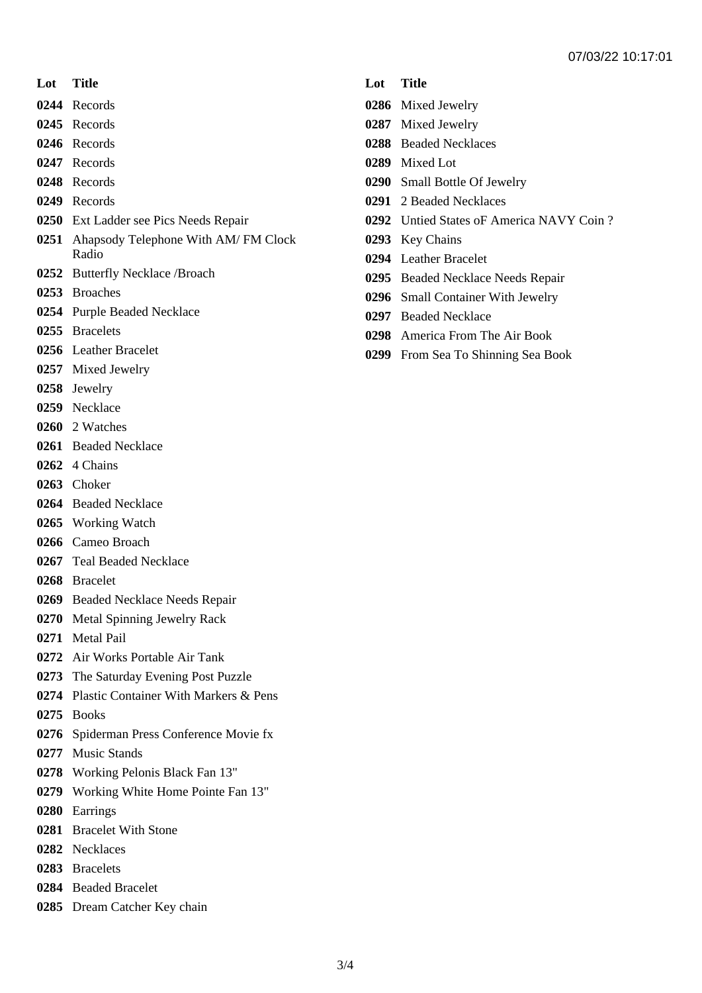- **Lot Title**
- Records
- Records
- Records
- Records
- Records
- Records
- Ext Ladder see Pics Needs Repair
- Ahapsody Telephone With AM/ FM Clock Radio
- Butterfly Necklace /Broach
- Broaches
- Purple Beaded Necklace
- Bracelets
- Leather Bracelet
- Mixed Jewelry
- Jewelry
- Necklace
- 2 Watches
- Beaded Necklace
- 4 Chains
- Choker
- Beaded Necklace
- Working Watch
- Cameo Broach
- Teal Beaded Necklace
- Bracelet
- Beaded Necklace Needs Repair
- Metal Spinning Jewelry Rack
- Metal Pail
- Air Works Portable Air Tank
- The Saturday Evening Post Puzzle
- Plastic Container With Markers & Pens
- Books
- Spiderman Press Conference Movie fx
- Music Stands
- Working Pelonis Black Fan 13"
- Working White Home Pointe Fan 13"
- Earrings
- Bracelet With Stone
- Necklaces
- Bracelets
- Beaded Bracelet
- Dream Catcher Key chain

### **Lot Title**

- Mixed Jewelry
- Mixed Jewelry
- Beaded Necklaces
- Mixed Lot
- Small Bottle Of Jewelry
- 2 Beaded Necklaces
- Untied States oF America NAVY Coin ?
- Key Chains
- Leather Bracelet
- Beaded Necklace Needs Repair
- Small Container With Jewelry
- Beaded Necklace
- America From The Air Book
- From Sea To Shinning Sea Book